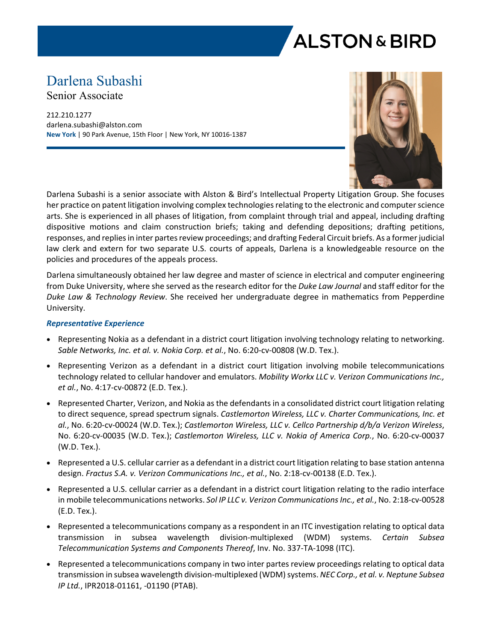

# Darlena Subashi

Senior Associate

212.210.1277 darlena.subashi@alston.com **New York** | 90 Park Avenue, 15th Floor | New York, NY 10016-1387



Darlena Subashi is a senior associate with Alston & Bird's Intellectual Property Litigation Group. She focuses her practice on patent litigation involving complex technologies relating to the electronic and computer science arts. She is experienced in all phases of litigation, from complaint through trial and appeal, including drafting dispositive motions and claim construction briefs; taking and defending depositions; drafting petitions, responses, and replies in inter partes review proceedings; and drafting Federal Circuit briefs. As a former judicial law clerk and extern for two separate U.S. courts of appeals, Darlena is a knowledgeable resource on the policies and procedures of the appeals process.

Darlena simultaneously obtained her law degree and master of science in electrical and computer engineering from Duke University, where she served as the research editor for the *Duke Law Journal* and staff editor for the *Duke Law & Technology Review*. She received her undergraduate degree in mathematics from Pepperdine University.

### *Representative Experience*

- Representing Nokia as a defendant in a district court litigation involving technology relating to networking. *Sable Networks, Inc. et al. v. Nokia Corp. et al.*, No. 6:20-cv-00808 (W.D. Tex.).
- Representing Verizon as a defendant in a district court litigation involving mobile telecommunications technology related to cellular handover and emulators. *Mobility Workx LLC v. Verizon Communications Inc., et al.*, No. 4:17-cv-00872 (E.D. Tex.).
- Represented Charter, Verizon, and Nokia as the defendants in a consolidated district court litigation relating to direct sequence, spread spectrum signals. *Castlemorton Wireless, LLC v. Charter Communications, Inc. et al.*, No. 6:20-cv-00024 (W.D. Tex.); *Castlemorton Wireless, LLC v. Cellco Partnership d/b/a Verizon Wireless*, No. 6:20-cv-00035 (W.D. Tex.); *Castlemorton Wireless, LLC v. Nokia of America Corp.*, No. 6:20-cv-00037 (W.D. Tex.).
- Represented a U.S. cellular carrier as a defendant in a district court litigation relating to base station antenna design. *Fractus S.A. v. Verizon Communications Inc., et al.*, No. 2:18-cv-00138 (E.D. Tex.).
- Represented a U.S. cellular carrier as a defendant in a district court litigation relating to the radio interface in mobile telecommunications networks. *Sol IP LLC v. Verizon Communications Inc., et al.*, No. 2:18-cv-00528 (E.D. Tex.).
- Represented a telecommunications company as a respondent in an ITC investigation relating to optical data transmission in subsea wavelength division-multiplexed (WDM) systems. *Certain Subsea Telecommunication Systems and Components Thereof*, Inv. No. 337-TA-1098 (ITC).
- Represented a telecommunications company in two inter partes review proceedings relating to optical data transmission in subsea wavelength division-multiplexed (WDM) systems. *NEC Corp., et al. v. Neptune Subsea IP Ltd.*, IPR2018-01161, -01190 (PTAB).